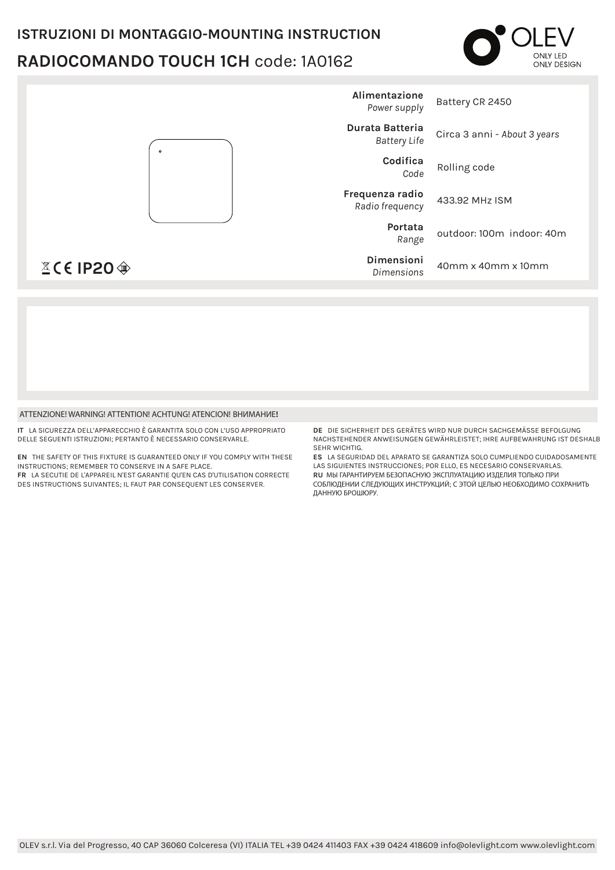## **ISTRUZIONI DI MONTAGGIO-MOUNTING INSTRUCTION** RADIOCOMANDO TOUCH 1CH code: 1A0162





#### ATTENZIONE! WARNING! ATTENTION! ACHTUNG! ATENCION! BHUMAHUE!

IT I A SICUREZZA DELL'APPARECCHIO È GARANTITA SOLO CON L'USO APPROPRIATO DELLE SEGUENTI ISTRUZIONI: PERTANTO È NECESSARIO CONSERVARI E

EN THE SAFETY OF THIS FIXTURE IS GUARANTEED ONLY IF YOU COMPLY WITH THESE INSTRUCTIONS; REMEMBER TO CONSERVE IN A SAFE PLACE. FR LA SECUTIE DE L'APPAREIL N'EST GARANTIE QU'EN CAS D'UTILISATION CORRECTE DES INSTRUCTIONS SUIVANTES; IL FAUT PAR CONSEQUENT LES CONSERVER.

DE DIE SICHERHEIT DES GERÄTES WIRD NUR DURCH SACHGEMÄSSE REFOLGUNG NACHSTEHENDER ANWEISUNGEN GEWÄHRLEISTET; IHRE AUFBEWAHRUNG IST DESHALB SEHR WICHTIG

ES LA SEGURIDAD DEL APARATO SE GARANTIZA SOLO CUMPLIENDO CUIDADOSAMENTE LAS SIGUIENTES INSTRUCCIONES; POR ELLO, ES NECESARIO CONSERVARLAS. RU МЫ ГАРАНТИРУЕМ БЕЗОПАСНУЮ ЭКСПЛУАТАЦИЮ ИЗДЕЛИЯ ТОЛЬКО ПРИ СОБЛЮДЕНИИ СЛЕДУЮЩИХ ИНСТРУКЦИЙ; С ЭТОЙ ЦЕЛЬЮ НЕОБХОДИМО СОХРАНИТЬ ДАННУЮ БРОШЮРУ.